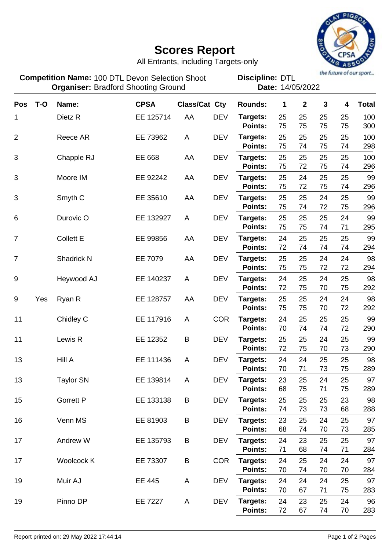

## **Scores Report**

All Entrants, including Targets-only

**Pos T-O Name: CPSA Class/Cat Cty Rounds: 1 2 3 4 Total Competition Name:** 100 DTL Devon Selection Shoot **Discipline: DTL Organiser:** Bradford Shooting Ground **Date:** 14/05/2022 **Discipline:**

| <b>POS</b>     | 1-U | Name:              | <b>UPSA</b> | Class/Cat Cty |            | <b>Rounds:</b>                 | T              | ∠              | J              | 4              | <u>i</u> otal    |
|----------------|-----|--------------------|-------------|---------------|------------|--------------------------------|----------------|----------------|----------------|----------------|------------------|
| 1              |     | Dietz R            | EE 125714   | AA            | <b>DEV</b> | Targets:<br><b>Points:</b>     | 25<br>75       | 25<br>75       | 25<br>75       | 25<br>75       | 100<br>300       |
| $\overline{2}$ |     | Reece AR           | EE 73962    | A             | <b>DEV</b> | Targets:<br><b>Points:</b>     | 25<br>75       | 25<br>74       | 25<br>75       | 25<br>74       | 100<br>298       |
| 3              |     | Chapple RJ         | EE 668      | AA            | <b>DEV</b> | Targets:<br>Points:            | 25<br>75       | 25<br>72       | 25<br>75       | 25<br>74       | 100<br>296       |
| 3              |     | Moore IM           | EE 92242    | AA            | <b>DEV</b> | Targets:                       | 25             | 24             | 25             | 25             | 99               |
| 3              |     | Smyth <sub>C</sub> | EE 35610    | AA            | <b>DEV</b> | <b>Points:</b><br>Targets:     | 75<br>25       | 72<br>25       | 75<br>24       | 74<br>25       | 296<br>99        |
| 6              |     | Durovic O          | EE 132927   | A             | <b>DEV</b> | Points:<br>Targets:            | 75<br>25       | 74<br>25       | 72<br>25       | 75<br>24       | 296<br>99        |
| $\overline{7}$ |     | <b>Collett E</b>   | EE 99856    | AA            | <b>DEV</b> | Points:<br>Targets:            | 75<br>24       | 75<br>25       | 74<br>25       | 71<br>25       | 295<br>99        |
| $\overline{7}$ |     | Shadrick N         | EE 7079     | AA            | <b>DEV</b> | Points:<br>Targets:            | 72<br>25       | 74<br>25       | 74<br>24       | 74<br>24       | 294<br>98        |
| 9              |     | Heywood AJ         | EE 140237   | A             | <b>DEV</b> | Points:<br>Targets:            | 75<br>24       | 75<br>25       | 72<br>24       | 72<br>25       | 294<br>98        |
| 9              | Yes |                    | EE 128757   | AA            | <b>DEV</b> | Points:<br>Targets:            | 72<br>25       | 75<br>25       | 70<br>24       | 75<br>24       | 292<br>98        |
|                |     | Ryan R             |             |               |            | Points:                        | 75             | 75             | 70             | 72             | 292              |
| 11             |     | Chidley C          | EE 117916   | A             | <b>COR</b> | Targets:<br><b>Points:</b>     | 24<br>70       | 25<br>74       | 25<br>74       | 25<br>72       | 99<br>290        |
| 11             |     | Lewis R            | EE 12352    | B             | <b>DEV</b> | Targets:<br>Points:            | 25<br>72       | 25<br>75       | 24<br>70       | 25<br>73       | 99<br>290        |
| 13             |     | Hill A             | EE 111436   | A             | <b>DEV</b> | Targets:<br><b>Points:</b>     | 24<br>70       | 24<br>71       | 25<br>73       | 25<br>75       | 98<br>289        |
| 13             |     | <b>Taylor SN</b>   | EE 139814   | A             | <b>DEV</b> | Targets:<br>Points:            | 23<br>68       | 25<br>75       | 24<br>71       | 25<br>75       | 97<br>289        |
| 15             |     | <b>Gorrett P</b>   | EE 133138   | B             | <b>DEV</b> | Targets:<br>Points:            | 25<br>74       | 25<br>73       | 25<br>73       | 23<br>68       | 98<br>288        |
| 16             |     | Venn MS            | EE 81903    | B             | <b>DEV</b> | Targets:<br>Points:            | 23<br>68       | 25<br>74       | 24<br>70       | 25<br>73       | 97<br>285        |
| 17             |     | Andrew W           | EE 135793   | B             | DEV        | Targets:<br>Points:            | 24<br>71       | 23<br>68       | 25<br>74       | 25<br>71       | 97<br>284        |
| 17             |     | Woolcock K         | EE 73307    | B             | <b>COR</b> | Targets:                       | 24             | 25             | 24             | 24             | 97               |
| 19             |     | Muir AJ            | EE 445      | A             | <b>DEV</b> | Points:<br>Targets:            | 70<br>24       | 74<br>24       | 70<br>24       | 70<br>25       | 284<br>97        |
| 19             |     | Pinno DP           | EE 7227     | A             | <b>DEV</b> | Points:<br>Targets:<br>Points: | 70<br>24<br>72 | 67<br>23<br>67 | 71<br>25<br>74 | 75<br>24<br>70 | 283<br>96<br>283 |
|                |     |                    |             |               |            |                                |                |                |                |                |                  |